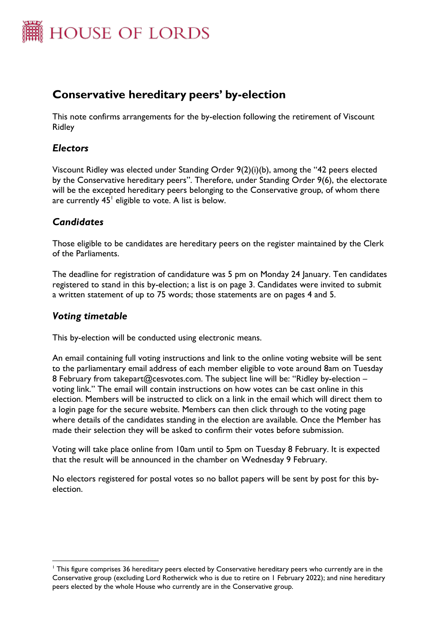

# **Conservative hereditary peers' by-election**

This note confirms arrangements for the by-election following the retirement of Viscount Ridley

### *Electors*

Viscount Ridley was elected under Standing Order 9(2)(i)(b), among the "42 peers elected by the Conservative hereditary peers". Therefore, under Standing Order 9(6), the electorate will be the excepted hereditary peers belonging to the Conservative group, of whom there are currently  $45^{\text{!`}}$  eligible to vote. A list is below.

### *Candidates*

Those eligible to be candidates are hereditary peers on the register maintained by the Clerk of the Parliaments.

The deadline for registration of candidature was 5 pm on Monday 24 January. Ten candidates registered to stand in this by-election; a list is on page 3. Candidates were invited to submit a written statement of up to 75 words; those statements are on pages 4 and 5.

### *Voting timetable*

This by-election will be conducted using electronic means.

An email containing full voting instructions and link to the online voting website will be sent to the parliamentary email address of each member eligible to vote around 8am on Tuesday 8 February from takepart@cesvotes.com. The subject line will be: "Ridley by-election – voting link." The email will contain instructions on how votes can be cast online in this election. Members will be instructed to click on a link in the email which will direct them to a login page for the secure website. Members can then click through to the voting page where details of the candidates standing in the election are available. Once the Member has made their selection they will be asked to confirm their votes before submission.

Voting will take place online from 10am until to 5pm on Tuesday 8 February. It is expected that the result will be announced in the chamber on Wednesday 9 February.

No electors registered for postal votes so no ballot papers will be sent by post for this byelection.

<sup>&</sup>lt;sup>1</sup> This figure comprises 36 hereditary peers elected by Conservative hereditary peers who currently are in the Conservative group (excluding Lord Rotherwick who is due to retire on 1 February 2022); and nine hereditary peers elected by the whole House who currently are in the Conservative group.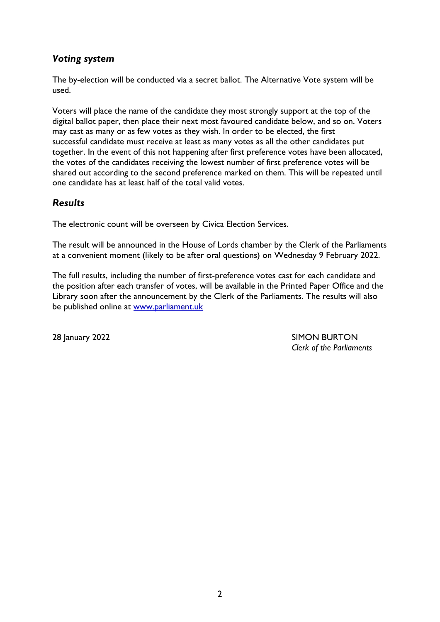## *Voting system*

The by-election will be conducted via a secret ballot. The Alternative Vote system will be used.

Voters will place the name of the candidate they most strongly support at the top of the digital ballot paper, then place their next most favoured candidate below, and so on. Voters may cast as many or as few votes as they wish. In order to be elected, the first successful candidate must receive at least as many votes as all the other candidates put together. In the event of this not happening after first preference votes have been allocated, the votes of the candidates receiving the lowest number of first preference votes will be shared out according to the second preference marked on them. This will be repeated until one candidate has at least half of the total valid votes.

## *Results*

The electronic count will be overseen by Civica Election Services.

The result will be announced in the House of Lords chamber by the Clerk of the Parliaments at a convenient moment (likely to be after oral questions) on Wednesday 9 February 2022.

The full results, including the number of first-preference votes cast for each candidate and the position after each transfer of votes, will be available in the Printed Paper Office and the Library soon after the announcement by the Clerk of the Parliaments. The results will also be published online at [www.parliament.uk](http://www.parliament.uk/)

28 January 2022 **SIMON BURTON** *Clerk of the Parliaments*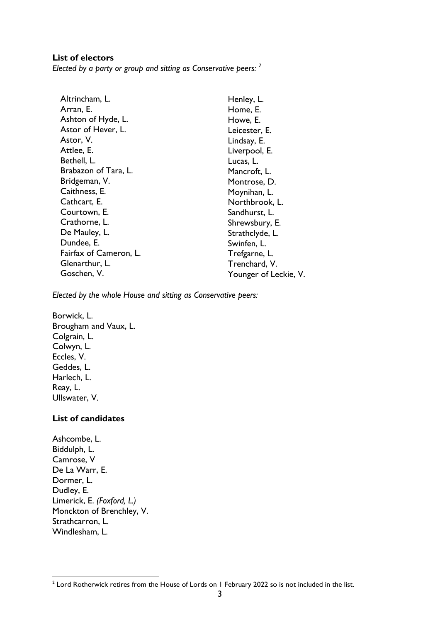#### **List of electors**

*Elected by a party or group and sitting as Conservative peers: <sup>2</sup>*

| Henley, L.            |
|-----------------------|
| Home, E.              |
| Howe, E.              |
| Leicester, E.         |
| Lindsay, E.           |
| Liverpool, E.         |
| Lucas, L.             |
| Mancroft, L.          |
| Montrose, D.          |
| Moynihan, L.          |
| Northbrook, L.        |
| Sandhurst, L.         |
| Shrewsbury, E.        |
| Strathclyde, L.       |
| Swinfen, L.           |
| Trefgarne, L.         |
| Trenchard, V.         |
| Younger of Leckie, V. |
|                       |

*Elected by the whole House and sitting as Conservative peers:*

Borwick, L. Brougham and Vaux, L. Colgrain, L. Colwyn, L. Eccles, V. Geddes, L. Harlech, L. Reay, L. Ullswater, V.

#### **List of candidates**

Ashcombe, L. Biddulph, L. Camrose, V De La Warr, E. Dormer, L. Dudley, E. Limerick, E. *(Foxford, L.)* Monckton of Brenchley, V. Strathcarron, L. Windlesham, L.

 $2$  Lord Rotherwick retires from the House of Lords on 1 February 2022 so is not included in the list.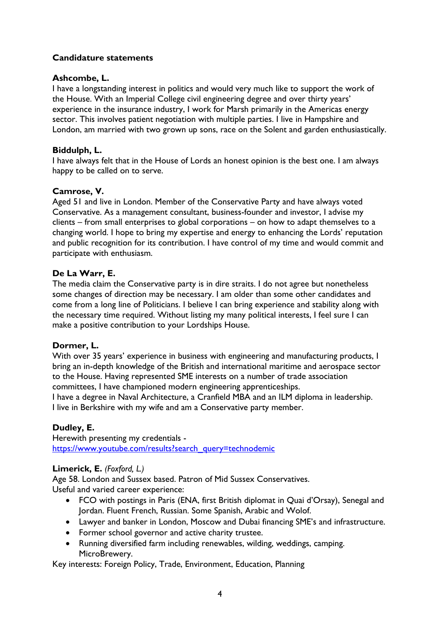#### **Candidature statements**

#### **Ashcombe, L.**

I have a longstanding interest in politics and would very much like to support the work of the House. With an Imperial College civil engineering degree and over thirty years' experience in the insurance industry, I work for Marsh primarily in the Americas energy sector. This involves patient negotiation with multiple parties. I live in Hampshire and London, am married with two grown up sons, race on the Solent and garden enthusiastically.

#### **Biddulph, L.**

I have always felt that in the House of Lords an honest opinion is the best one. I am always happy to be called on to serve.

#### **Camrose, V.**

Aged 51 and live in London. Member of the Conservative Party and have always voted Conservative. As a management consultant, business-founder and investor, I advise my clients – from small enterprises to global corporations – on how to adapt themselves to a changing world. I hope to bring my expertise and energy to enhancing the Lords' reputation and public recognition for its contribution. I have control of my time and would commit and participate with enthusiasm.

#### **De La Warr, E.**

The media claim the Conservative party is in dire straits. I do not agree but nonetheless some changes of direction may be necessary. I am older than some other candidates and come from a long line of Politicians. I believe I can bring experience and stability along with the necessary time required. Without listing my many political interests, I feel sure I can make a positive contribution to your Lordships House.

#### **Dormer, L.**

With over 35 years' experience in business with engineering and manufacturing products, I bring an in-depth knowledge of the British and international maritime and aerospace sector to the House. Having represented SME interests on a number of trade association committees, I have championed modern engineering apprenticeships.

I have a degree in Naval Architecture, a Cranfield MBA and an ILM diploma in leadership. I live in Berkshire with my wife and am a Conservative party member.

#### **Dudley, E.**

Herewith presenting my credentials [https://www.youtube.com/results?search\\_query=technodemic](https://www.youtube.com/results?search_query=technodemic)

#### **Limerick, E.** *(Foxford, L.)*

Age 58. London and Sussex based. Patron of Mid Sussex Conservatives. Useful and varied career experience:

- FCO with postings in Paris (ENA, first British diplomat in Quai d'Orsay), Senegal and Jordan. Fluent French, Russian. Some Spanish, Arabic and Wolof.
- Lawyer and banker in London, Moscow and Dubai financing SME's and infrastructure.
- Former school governor and active charity trustee.
- Running diversified farm including renewables, wilding, weddings, camping. MicroBrewery.

Key interests: Foreign Policy, Trade, Environment, Education, Planning